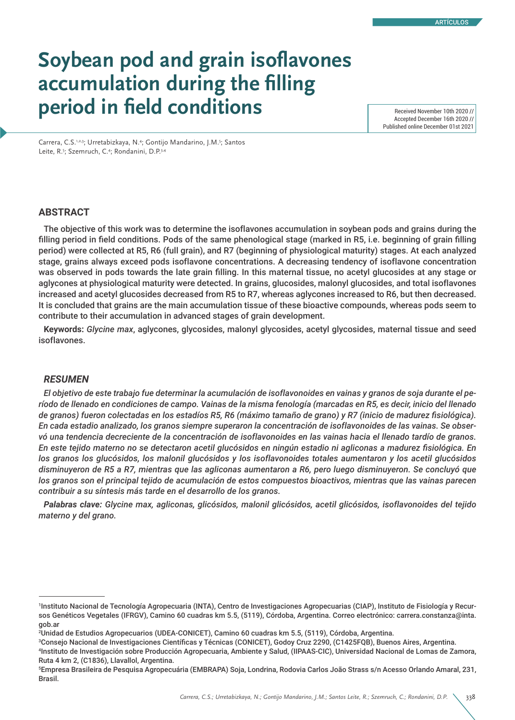# **Soybean pod and grain isoflavones accumulation during the filling**  period in field conditions

Accepted December 16th 2020 // Published online December 01st 2021

Carrera, C.S.<sup>1,2,3</sup>; Urretabizkaya, N.<sup>4</sup>; Gontijo Mandarino, J.M.<sup>5</sup>; Santos Leite, R.<sup>5</sup>; Szemruch, C.<sup>4</sup>; Rondanini, D.P.<sup>3,4</sup>

# **ABSTRACT**

The objective of this work was to determine the isoflavones accumulation in soybean pods and grains during the filling period in field conditions. Pods of the same phenological stage (marked in R5, i.e. beginning of grain filling period) were collected at R5, R6 (full grain), and R7 (beginning of physiological maturity) stages. At each analyzed stage, grains always exceed pods isoflavone concentrations. A decreasing tendency of isoflavone concentration was observed in pods towards the late grain filling. In this maternal tissue, no acetyl glucosides at any stage or aglycones at physiological maturity were detected. In grains, glucosides, malonyl glucosides, and total isoflavones increased and acetyl glucosides decreased from R5 to R7, whereas aglycones increased to R6, but then decreased. It is concluded that grains are the main accumulation tissue of these bioactive compounds, whereas pods seem to contribute to their accumulation in advanced stages of grain development.

**Keywords:** *Glycine max*, aglycones, glycosides, malonyl glycosides, acetyl glycosides, maternal tissue and seed isoflavones.

# *RESUMEN*

*El objetivo de este trabajo fue determinar la acumulación de isoflavonoides en vainas y granos de soja durante el período de llenado en condiciones de campo. Vainas de la misma fenología (marcadas en R5, es decir, inicio del llenado de granos) fueron colectadas en los estadíos R5, R6 (máximo tamaño de grano) y R7 (inicio de madurez fisiológica). En cada estadio analizado, los granos siempre superaron la concentración de isoflavonoides de las vainas. Se observó una tendencia decreciente de la concentración de isoflavonoides en las vainas hacia el llenado tardío de granos. En este tejido materno no se detectaron acetil glucósidos en ningún estadio ni agliconas a madurez fisiológica. En*  los granos los glucósidos, los malonil glucósidos y los isoflavonoides totales aumentaron y los acetil glucósidos *disminuyeron de R5 a R7, mientras que las agliconas aumentaron a R6, pero luego disminuyeron. Se concluyó que los granos son el principal tejido de acumulación de estos compuestos bioactivos, mientras que las vainas parecen contribuir a su síntesis más tarde en el desarrollo de los granos.*

*Palabras clave: Glycine max, agliconas, glicósidos, malonil glicósidos, acetil glicósidos, isoflavonoides del tejido materno y del grano.*

<sup>1</sup> Instituto Nacional de Tecnología Agropecuaria (INTA), Centro de Investigaciones Agropecuarias (CIAP), Instituto de Fisiología y Recursos Genéticos Vegetales (IFRGV), Camino 60 cuadras km 5.5, (5119), Córdoba, Argentina. Correo electrónico: carrera.constanza@inta. gob.ar

<sup>2</sup> Unidad de Estudios Agropecuarios (UDEA-CONICET), Camino 60 cuadras km 5.5, (5119), Córdoba, Argentina.

<sup>3</sup> Consejo Nacional de Investigaciones Científicas y Técnicas (CONICET), Godoy Cruz 2290, (C1425FQB), Buenos Aires, Argentina. 4 Instituto de Investigación sobre Producción Agropecuaria, Ambiente y Salud, (IIPAAS-CIC), Universidad Nacional de Lomas de Zamora, Ruta 4 km 2, (C1836), Llavallol, Argentina.

<sup>5</sup> Empresa Brasileira de Pesquisa Agropecuária (EMBRAPA) Soja, Londrina, Rodovia Carlos João Strass s/n Acesso Orlando Amaral, 231, Brasil.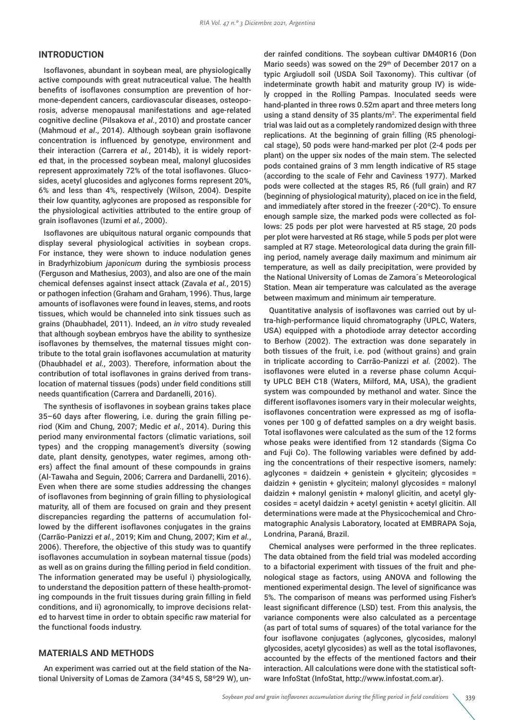## **INTRODUCTION**

Isoflavones, abundant in soybean meal, are physiologically active compounds with great nutraceutical value. The health benefits of isoflavones consumption are prevention of hormone-dependent cancers, cardiovascular diseases, osteoporosis, adverse menopausal manifestations and age-related cognitive decline (Pilsakova *et al.*, 2010) and prostate cancer (Mahmoud *et al*., 2014). Although soybean grain isoflavone concentration is influenced by genotype, environment and their interaction (Carrera *et al.*, 2014b), it is widely reported that, in the processed soybean meal, malonyl glucosides represent approximately 72% of the total isoflavones. Glucosides, acetyl glucosides and aglycones forms represent 20%, 6% and less than 4%, respectively (Wilson, 2004). Despite their low quantity, aglycones are proposed as responsible for the physiological activities attributed to the entire group of grain isoflavones (Izumi *et al.*, 2000).

Isoflavones are ubiquitous natural organic compounds that display several physiological activities in soybean crops. For instance, they were shown to induce nodulation genes in Bradyrhizobium *japonicum* during the symbiosis process (Ferguson and Mathesius, 2003), and also are one of the main chemical defenses against insect attack (Zavala *et al.*, 2015) or pathogen infection (Graham and Graham, 1996). Thus, large amounts of isoflavones were found in leaves, stems, and roots tissues, which would be channeled into sink tissues such as grains (Dhaubhadel, 2011). Indeed, an *in vitro* study revealed that although soybean embryos have the ability to synthesize isoflavones by themselves, the maternal tissues might contribute to the total grain isoflavones accumulation at maturity (Dhaubhadel *et al.*, 2003). Therefore, information about the contribution of total isoflavones in grains derived from translocation of maternal tissues (pods) under field conditions still needs quantification (Carrera and Dardanelli, 2016).

The synthesis of isoflavones in soybean grains takes place 35–60 days after flowering, i.e. during the grain filling period (Kim and Chung, 2007; Medic *et al.*, 2014). During this period many environmental factors (climatic variations, soil types) and the cropping management's diversity (sowing date, plant density, genotypes, water regimes, among others) affect the final amount of these compounds in grains (Al-Tawaha and Seguin, 2006; Carrera and Dardanelli, 2016). Even when there are some studies addressing the changes of isoflavones from beginning of grain filling to physiological maturity, all of them are focused on grain and they present discrepancies regarding the patterns of accumulation followed by the different isoflavones conjugates in the grains (Carrão-Panizzi *et al.*, 2019; Kim and Chung, 2007; Kim *et al.*, 2006). Therefore, the objective of this study was to quantify isoflavones accumulation in soybean maternal tissue (pods) as well as on grains during the filling period in field condition. The information generated may be useful i) physiologically, to understand the deposition pattern of these health-promoting compounds in the fruit tissues during grain filling in field conditions, and ii) agronomically, to improve decisions related to harvest time in order to obtain specific raw material for the functional foods industry.

# **MATERIALS AND METHODS**

An experiment was carried out at the field station of the National University of Lomas de Zamora (34°45 S, 58°29 W), under rainfed conditions. The soybean cultivar DM40R16 (Don Mario seeds) was sowed on the 29<sup>th</sup> of December 2017 on a typic Argiudoll soil (USDA Soil Taxonomy). This cultivar (of indeterminate growth habit and maturity group IV) is widely cropped in the Rolling Pampas. Inoculated seeds were hand-planted in three rows 0.52m apart and three meters long using a stand density of 35 plants/m<sup>2</sup> . The experimental field trial was laid out as a completely randomized design with three replications. At the beginning of grain filling (R5 phenological stage), 50 pods were hand-marked per plot (2-4 pods per plant) on the upper six nodes of the main stem. The selected pods contained grains of 3 mm length indicative of R5 stage (according to the scale of Fehr and Caviness 1977). Marked pods were collected at the stages R5, R6 (full grain) and R7 (beginning of physiological maturity), placed on ice in the field, and immediately after stored in the freezer (-20ºC). To ensure enough sample size, the marked pods were collected as follows: 25 pods per plot were harvested at R5 stage, 20 pods per plot were harvested at R6 stage, while 5 pods per plot were sampled at R7 stage. Meteorological data during the grain filling period, namely average daily maximum and minimum air temperature, as well as daily precipitation, were provided by the National University of Lomas de Zamora´s Meteorological Station. Mean air temperature was calculated as the average between maximum and minimum air temperature.

Quantitative analysis of isoflavones was carried out by ultra-high-performance liquid chromatography (UPLC, Waters, USA) equipped with a photodiode array detector according to Berhow (2002). The extraction was done separately in both tissues of the fruit, i.e. pod (without grains) and grain in triplicate according to Carrão-Panizzi *et al.* (2002). The isoflavones were eluted in a reverse phase column Acquity UPLC BEH C18 (Waters, Milford, MA, USA), the gradient system was compounded by methanol and water. Since the different isoflavones isomers vary in their molecular weights, isoflavones concentration were expressed as mg of isoflavones per 100 g of defatted samples on a dry weight basis. Total isoflavones were calculated as the sum of the 12 forms whose peaks were identified from 12 standards (Sigma Co and Fuji Co). The following variables were defined by adding the concentrations of their respective isomers, namely: aglycones = daidzein + genistein + glycitein; glycosides = daidzin + genistin + glycitein; malonyl glycosides = malonyl daidzin + malonyl genistin + malonyl glicitin, and acetyl glycosides = acetyl daidzin + acetyl genistin + acetyl glicitin. All determinations were made at the Physicochemical and Chromatographic Analysis Laboratory, located at EMBRAPA Soja, Londrina, Paraná, Brazil.

Chemical analyses were performed in the three replicates. The data obtained from the field trial was modeled according to a bifactorial experiment with tissues of the fruit and phenological stage as factors, using ANOVA and following the mentioned experimental design. The level of significance was 5%. The comparison of means was performed using Fisher's least significant difference (LSD) test. From this analysis, the variance components were also calculated as a percentage (as part of total sums of squares) of the total variance for the four isoflavone conjugates (aglycones, glycosides, malonyl glycosides, acetyl glycosides) as well as the total isoflavones, accounted by the effects of the mentioned factors and their interaction. All calculations were done with the statistical software InfoStat (InfoStat, http://www.infostat.com.ar).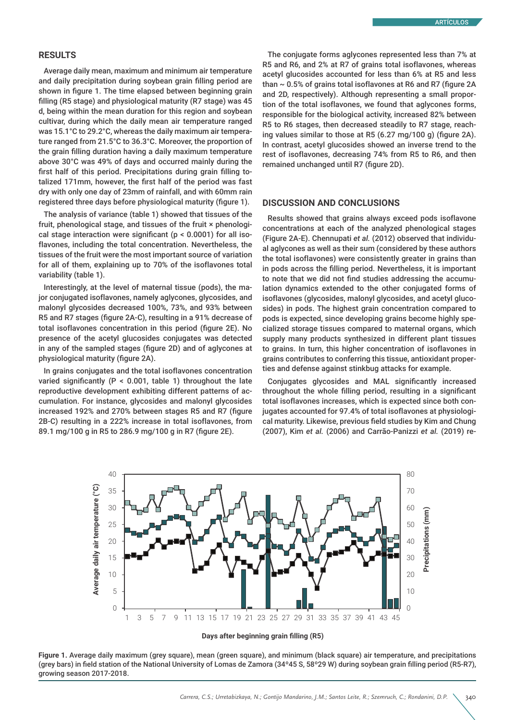#### **RESULTS**

Average daily mean, maximum and minimum air temperature and daily precipitation during soybean grain filling period are shown in figure 1. The time elapsed between beginning grain filling (R5 stage) and physiological maturity (R7 stage) was 45 d, being within the mean duration for this region and soybean cultivar, during which the daily mean air temperature ranged was 15.1°C to 29.2°C, whereas the daily maximum air temperature ranged from 21.5°C to 36.3°C. Moreover, the proportion of the grain filling duration having a daily maximum temperature above 30°C was 49% of days and occurred mainly during the first half of this period. Precipitations during grain filling totalized 171mm, however, the first half of the period was fast dry with only one day of 23mm of rainfall, and with 60mm rain registered three days before physiological maturity (figure 1).

The analysis of variance (table 1) showed that tissues of the fruit, phenological stage, and tissues of the fruit × phenological stage interaction were significant (p < 0.0001) for all isoflavones, including the total concentration. Nevertheless, the tissues of the fruit were the most important source of variation for all of them, explaining up to 70% of the isoflavones total variability (table 1).

Interestingly, at the level of maternal tissue (pods), the major conjugated isoflavones, namely aglycones, glycosides, and malonyl glycosides decreased 100%, 73%, and 93% between R5 and R7 stages (figure 2A-C), resulting in a 91% decrease of total isoflavones concentration in this period (figure 2E). No presence of the acetyl glucosides conjugates was detected in any of the sampled stages (figure 2D) and of aglycones at physiological maturity (figure 2A).

In grains conjugates and the total isoflavones concentration varied significantly (P < 0.001, table 1) throughout the late reproductive development exhibiting different patterns of accumulation. For instance, glycosides and malonyl glycosides increased 192% and 270% between stages R5 and R7 (figure 2B-C) resulting in a 222% increase in total isoflavones, from 89.1 mg/100 g in R5 to 286.9 mg/100 g in R7 (figure 2E).

The conjugate forms aglycones represented less than 7% at R5 and R6, and 2% at R7 of grains total isoflavones, whereas acetyl glucosides accounted for less than 6% at R5 and less than  $\sim$  0.5% of grains total isoflavones at R6 and R7 (figure 2A and 2D, respectively). Although representing a small proportion of the total isoflavones, we found that aglycones forms, responsible for the biological activity, increased 82% between R5 to R6 stages, then decreased steadily to R7 stage, reaching values similar to those at R5 (6.27 mg/100 g) (figure 2A). In contrast, acetyl glucosides showed an inverse trend to the rest of isoflavones, decreasing 74% from R5 to R6, and then remained unchanged until R7 (figure 2D).

## **DISCUSSION AND CONCLUSIONS**

Results showed that grains always exceed pods isoflavone concentrations at each of the analyzed phenological stages (Figure 2A-E). Chennupati *et al.* (2012) observed that individual aglycones as well as their sum (considered by these authors the total isoflavones) were consistently greater in grains than in pods across the filling period. Nevertheless, it is important to note that we did not find studies addressing the accumulation dynamics extended to the other conjugated forms of isoflavones (glycosides, malonyl glycosides, and acetyl glucosides) in pods. The highest grain concentration compared to pods is expected, since developing grains become highly specialized storage tissues compared to maternal organs, which supply many products synthesized in different plant tissues to grains. In turn, this higher concentration of isoflavones in grains contributes to conferring this tissue, antioxidant properties and defense against stinkbug attacks for example.

Conjugates glycosides and MAL significantly increased throughout the whole filling period, resulting in a significant total isoflavones increases, which is expected since both conjugates accounted for 97.4% of total isoflavones at physiological maturity. Likewise, previous field studies by Kim and Chung (2007), Kim *et al.* (2006) and Carrão-Panizzi *et al.* (2019) re-





**Figure 1.** Average daily maximum (grey square), mean (green square), and minimum (black square) air temperature, and precipitations (grey bars) in field station of the National University of Lomas de Zamora (34º45 S, 58º29 W) during soybean grain filling period (R5-R7), growing season 2017-2018.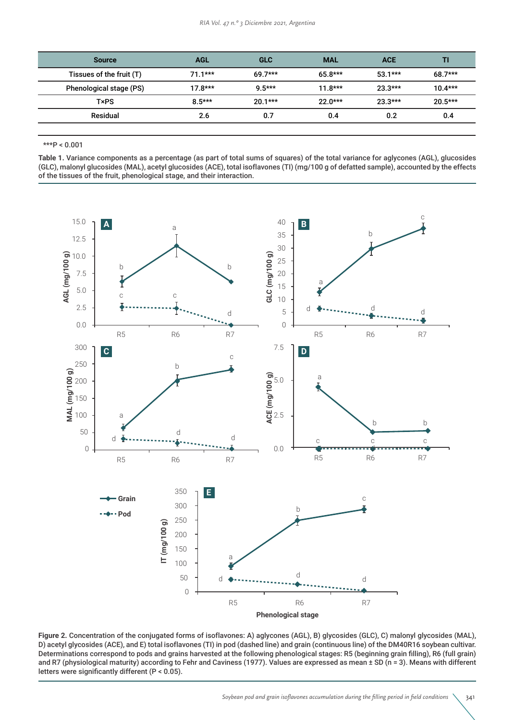| <b>AGL</b> | <b>GLC</b> | <b>MAL</b> | <b>ACE</b> | TI        |
|------------|------------|------------|------------|-----------|
| $71.1***$  | $69.7***$  | $65.8***$  | $53.1***$  | $68.7***$ |
| $17.8***$  | $9.5***$   | $11.8***$  | $23.3***$  | $10.4***$ |
| $8.5***$   | $20.1***$  | $22.0***$  | $23.3***$  | $20.5***$ |
| 2.6        | 0.7        | 0.4        | 0.2        | 0.4       |
|            |            |            |            |           |

\*\*\*P < 0.001

**Table 1.** Variance components as a percentage (as part of total sums of squares) of the total variance for aglycones (AGL), glucosides (GLC), malonyl glucosides (MAL), acetyl glucosides (ACE), total isoflavones (TI) (mg/100 g of defatted sample), accounted by the effects of the tissues of the fruit, phenological stage, and their interaction.



Figure 2. Concentration of the conjugated forms of isoflavones: A) aglycones (AGL), B) glycosides (GLC), C) malonyl glycosides (MAL), D) acetyl glycosides (ACE), and E) total isoflavones (TI) in pod (dashed line) and grain (continuous line) of the DM40R16 soybean cultivar. Determinations correspond to pods and grains harvested at the following phenological stages: R5 (beginning grain filling), R6 (full grain) and R7 (physiological maturity) according to Fehr and Caviness (1977). Values are expressed as mean ± SD (n = 3). Means with different letters were significantly different (P < 0.05).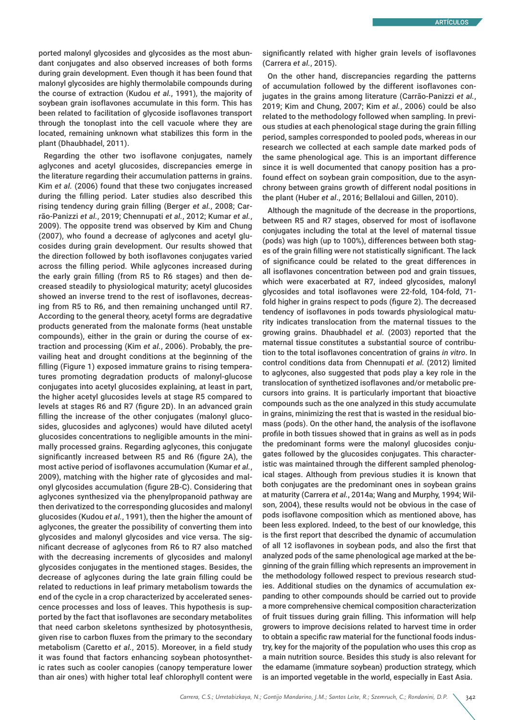ported malonyl glycosides and glycosides as the most abundant conjugates and also observed increases of both forms during grain development. Even though it has been found that malonyl glycosides are highly thermolabile compounds during the course of extraction (Kudou *et al.*, 1991), the majority of soybean grain isoflavones accumulate in this form. This has been related to facilitation of glycoside isoflavones transport through the tonoplast into the cell vacuole where they are located, remaining unknown what stabilizes this form in the plant (Dhaubhadel, 2011).

Regarding the other two isoflavone conjugates, namely aglycones and acetyl glucosides, discrepancies emerge in the literature regarding their accumulation patterns in grains. Kim *et al.* (2006) found that these two conjugates increased during the filling period. Later studies also described this rising tendency during grain filling (Berger *et al.*, 2008; Carrão-Panizzi *et al.*, 2019; Chennupati *et al.*, 2012; Kumar *et al.*, 2009). The opposite trend was observed by Kim and Chung (2007), who found a decrease of aglycones and acetyl glucosides during grain development. Our results showed that the direction followed by both isoflavones conjugates varied across the filling period. While aglycones increased during the early grain filling (from R5 to R6 stages) and then decreased steadily to physiological maturity; acetyl glucosides showed an inverse trend to the rest of isoflavones, decreasing from R5 to R6, and then remaining unchanged until R7. According to the general theory, acetyl forms are degradative products generated from the malonate forms (heat unstable compounds), either in the grain or during the course of extraction and processing (Kim *et al.*, 2006). Probably, the prevailing heat and drought conditions at the beginning of the filling (Figure 1) exposed immature grains to rising temperatures promoting degradation products of malonyl-glucose conjugates into acetyl glucosides explaining, at least in part, the higher acetyl glucosides levels at stage R5 compared to levels at stages R6 and R7 (figure 2D). In an advanced grain filling the increase of the other conjugates (malonyl glucosides, glucosides and aglycones) would have diluted acetyl glucosides concentrations to negligible amounts in the minimally processed grains. Regarding aglycones, this conjugate significantly increased between R5 and R6 (figure 2A), the most active period of isoflavones accumulation (Kumar *et al.*, 2009), matching with the higher rate of glycosides and malonyl glycosides accumulation (figure 2B-C). Considering that aglycones synthesized via the phenylpropanoid pathway are then derivatized to the corresponding glucosides and malonyl glucosides (Kudou *et al.*, 1991), then the higher the amount of aglycones, the greater the possibility of converting them into glycosides and malonyl glycosides and vice versa. The significant decrease of aglycones from R6 to R7 also matched with the decreasing increments of glycosides and malonyl glycosides conjugates in the mentioned stages. Besides, the decrease of aglycones during the late grain filling could be related to reductions in leaf primary metabolism towards the end of the cycle in a crop characterized by accelerated senescence processes and loss of leaves. This hypothesis is supported by the fact that isoflavones are secondary metabolites that need carbon skeletons synthesized by photosynthesis, given rise to carbon fluxes from the primary to the secondary metabolism (Caretto *et al.*, 2015). Moreover, in a field study it was found that factors enhancing soybean photosynthetic rates such as cooler canopies (canopy temperature lower than air ones) with higher total leaf chlorophyll content were significantly related with higher grain levels of isoflavones (Carrera *et al.*, 2015).

On the other hand, discrepancies regarding the patterns of accumulation followed by the different isoflavones conjugates in the grains among literature (Carrão-Panizzi *et al.*, 2019; Kim and Chung, 2007; Kim *et al.*, 2006) could be also related to the methodology followed when sampling. In previous studies at each phenological stage during the grain filling period, samples corresponded to pooled pods, whereas in our research we collected at each sample date marked pods of the same phenological age. This is an important difference since it is well documented that canopy position has a profound effect on soybean grain composition, due to the asynchrony between grains growth of different nodal positions in the plant (Huber *et al*., 2016; Bellaloui and Gillen, 2010).

Although the magnitude of the decrease in the proportions, between R5 and R7 stages, observed for most of isoflavone conjugates including the total at the level of maternal tissue (pods) was high (up to 100%), differences between both stages of the grain filling were not statistically significant. The lack of significance could be related to the great differences in all isoflavones concentration between pod and grain tissues, which were exacerbated at R7, indeed glycosides, malonyl glycosides and total isoflavones were 22-fold, 104-fold, 71 fold higher in grains respect to pods (figure 2). The decreased tendency of isoflavones in pods towards physiological maturity indicates translocation from the maternal tissues to the growing grains. Dhaubhadel *et al.* (2003) reported that the maternal tissue constitutes a substantial source of contribution to the total isoflavones concentration of grains *in vitro*. In control conditions data from Chennupati *et al.* (2012) limited to aglycones, also suggested that pods play a key role in the translocation of synthetized isoflavones and/or metabolic precursors into grains. It is particularly important that bioactive compounds such as the one analyzed in this study accumulate in grains, minimizing the rest that is wasted in the residual biomass (pods). On the other hand, the analysis of the isoflavone profile in both tissues showed that in grains as well as in pods the predominant forms were the malonyl glucosides conjugates followed by the glucosides conjugates. This characteristic was maintained through the different sampled phenological stages. Although from previous studies it is known that both conjugates are the predominant ones in soybean grains at maturity (Carrera *et al.*, 2014a; Wang and Murphy, 1994; Wilson, 2004), these results would not be obvious in the case of pods isoflavone composition which as mentioned above, has been less explored. Indeed, to the best of our knowledge, this is the first report that described the dynamic of accumulation of all 12 isoflavones in soybean pods, and also the first that analyzed pods of the same phenological age marked at the beginning of the grain filling which represents an improvement in the methodology followed respect to previous research studies. Additional studies on the dynamics of accumulation expanding to other compounds should be carried out to provide a more comprehensive chemical composition characterization of fruit tissues during grain filling. This information will help growers to improve decisions related to harvest time in order to obtain a specific raw material for the functional foods industry, key for the majority of the population who uses this crop as a main nutrition source. Besides this study is also relevant for the edamame (immature soybean) production strategy, which is an imported vegetable in the world, especially in East Asia.